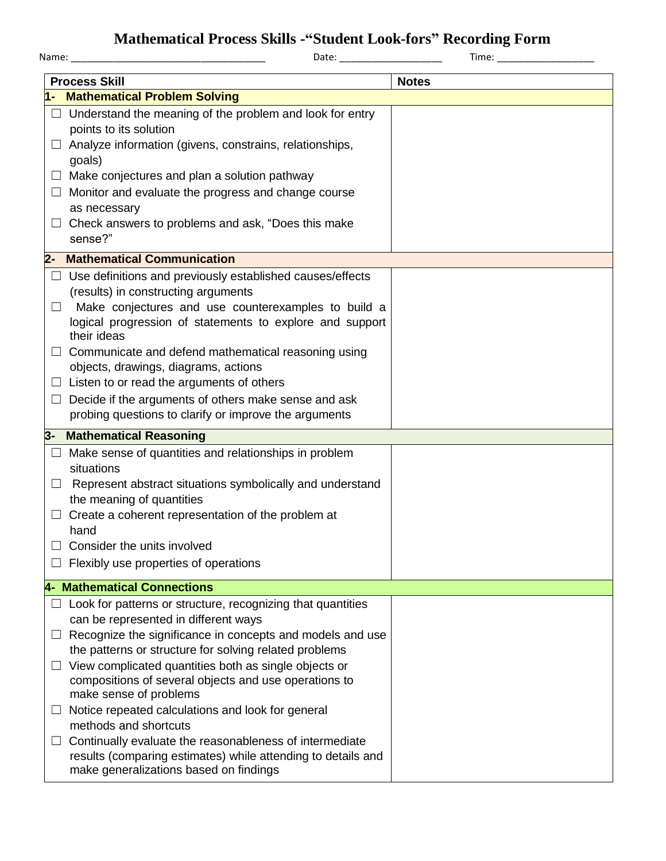## **Mathematical Process Skills -"Student Look-fors" Recording Form**

|        | Mathematical I Tocess DRMs - Diducht Look-Tols - Recolung Form<br>Time: The contract of the contract of the contract of the contract of the contract of the contract of the contract of the contract of the contract of the contract of the contract of the contract of the contract of the cont |              |  |  |
|--------|--------------------------------------------------------------------------------------------------------------------------------------------------------------------------------------------------------------------------------------------------------------------------------------------------|--------------|--|--|
|        | <b>Process Skill</b>                                                                                                                                                                                                                                                                             | <b>Notes</b> |  |  |
|        | 1- Mathematical Problem Solving                                                                                                                                                                                                                                                                  |              |  |  |
|        | $\Box$ Understand the meaning of the problem and look for entry<br>points to its solution                                                                                                                                                                                                        |              |  |  |
| $\Box$ | Analyze information (givens, constrains, relationships,<br>goals)                                                                                                                                                                                                                                |              |  |  |
| ப      | Make conjectures and plan a solution pathway                                                                                                                                                                                                                                                     |              |  |  |
| ப      | Monitor and evaluate the progress and change course                                                                                                                                                                                                                                              |              |  |  |
|        | as necessary                                                                                                                                                                                                                                                                                     |              |  |  |
| $\Box$ | Check answers to problems and ask, "Does this make<br>sense?"                                                                                                                                                                                                                                    |              |  |  |
|        | 2- Mathematical Communication                                                                                                                                                                                                                                                                    |              |  |  |
| $\Box$ | Use definitions and previously established causes/effects                                                                                                                                                                                                                                        |              |  |  |
|        | (results) in constructing arguments                                                                                                                                                                                                                                                              |              |  |  |
| $\Box$ | Make conjectures and use counterexamples to build a<br>logical progression of statements to explore and support                                                                                                                                                                                  |              |  |  |
|        | their ideas                                                                                                                                                                                                                                                                                      |              |  |  |
|        | Communicate and defend mathematical reasoning using                                                                                                                                                                                                                                              |              |  |  |
|        | objects, drawings, diagrams, actions                                                                                                                                                                                                                                                             |              |  |  |
| $\Box$ | Listen to or read the arguments of others                                                                                                                                                                                                                                                        |              |  |  |
| ⊔      | Decide if the arguments of others make sense and ask                                                                                                                                                                                                                                             |              |  |  |
|        | probing questions to clarify or improve the arguments                                                                                                                                                                                                                                            |              |  |  |
|        | 3- Mathematical Reasoning                                                                                                                                                                                                                                                                        |              |  |  |
|        | Make sense of quantities and relationships in problem                                                                                                                                                                                                                                            |              |  |  |
|        | situations                                                                                                                                                                                                                                                                                       |              |  |  |
| ⊔      | Represent abstract situations symbolically and understand<br>the meaning of quantities                                                                                                                                                                                                           |              |  |  |
|        | Create a coherent representation of the problem at                                                                                                                                                                                                                                               |              |  |  |
|        | hand                                                                                                                                                                                                                                                                                             |              |  |  |
|        | Consider the units involved                                                                                                                                                                                                                                                                      |              |  |  |
|        | Flexibly use properties of operations                                                                                                                                                                                                                                                            |              |  |  |
|        | <b>4- Mathematical Connections</b>                                                                                                                                                                                                                                                               |              |  |  |
| ப      | Look for patterns or structure, recognizing that quantities                                                                                                                                                                                                                                      |              |  |  |
|        | can be represented in different ways                                                                                                                                                                                                                                                             |              |  |  |
| ப      | Recognize the significance in concepts and models and use<br>the patterns or structure for solving related problems                                                                                                                                                                              |              |  |  |
| ш      | View complicated quantities both as single objects or                                                                                                                                                                                                                                            |              |  |  |
|        | compositions of several objects and use operations to                                                                                                                                                                                                                                            |              |  |  |
|        | make sense of problems                                                                                                                                                                                                                                                                           |              |  |  |
| ப      | Notice repeated calculations and look for general<br>methods and shortcuts                                                                                                                                                                                                                       |              |  |  |
| ப      | Continually evaluate the reasonableness of intermediate                                                                                                                                                                                                                                          |              |  |  |
|        | results (comparing estimates) while attending to details and<br>make generalizations based on findings                                                                                                                                                                                           |              |  |  |